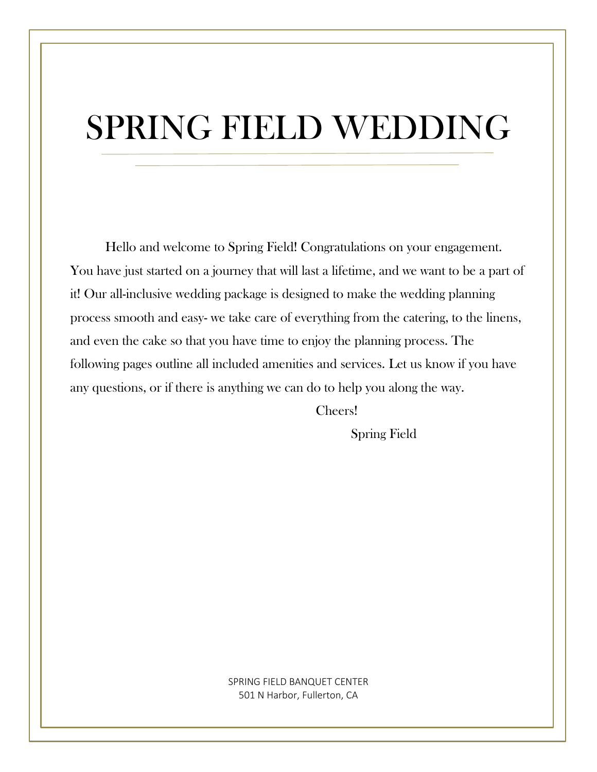# SPRING FIELD WEDDING

Hello and welcome to Spring Field! Congratulations on your engagement. You have just started on a journey that will last a lifetime, and we want to be a part of it! Our all-inclusive wedding package is designed to make the wedding planning process smooth and easy- we take care of everything from the catering, to the linens, and even the cake so that you have time to enjoy the planning process. The following pages outline all included amenities and services. Let us know if you have any questions, or if there is anything we can do to help you along the way.

Cheers!

Spring Field

SPRING FIELD BANQUET CENTER 501 N Harbor, Fullerton, CA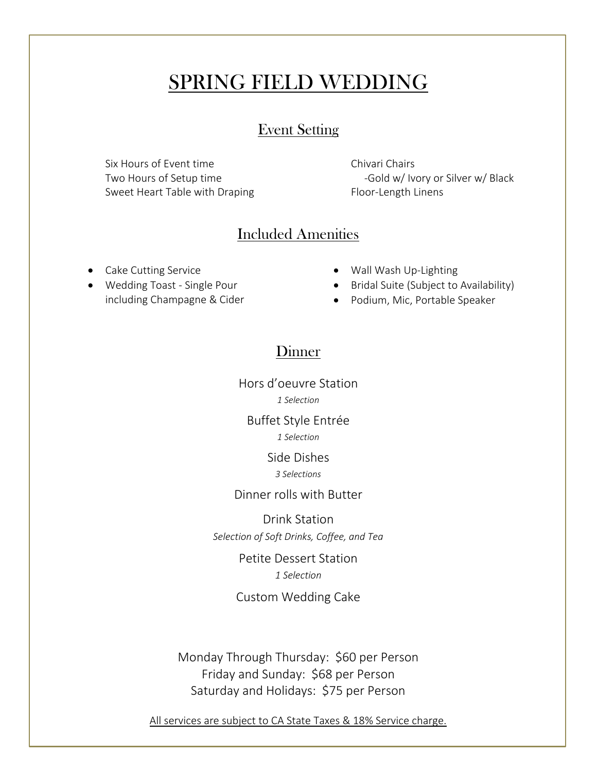# SPRING FIELD WEDDING

#### Event Setting

Six Hours of Event time Two Hours of Setup time Sweet Heart Table with Draping Chivari Chairs -Gold w/ Ivory or Silver w/ Black Floor-Length Linens

### Included Amenities

- Cake Cutting Service
- Wedding Toast Single Pour including Champagne & Cider
- Wall Wash Up-Lighting
- Bridal Suite (Subject to Availability)
- Podium, Mic, Portable Speaker

## Dinner

Hors d'oeuvre Station *1 Selection*

Buffet Style Entrée *1 Selection*

Side Dishes

*3 Selections*

#### Dinner rolls with Butter

Drink Station *Selection of Soft Drinks, Coffee, and Tea*

> Petite Dessert Station *1 Selection*

Custom Wedding Cake

Monday Through Thursday: \$60 per Person Friday and Sunday: \$68 per Person Saturday and Holidays: \$75 per Person

All services are subject to CA State Taxes & 18% Service charge.